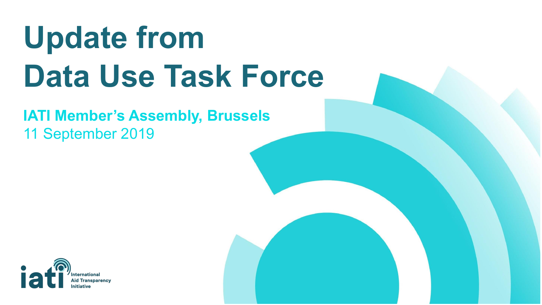# **Update from Data Use Task Force**

### **IATI Member's Assembly, Brussels** 11 September 2019

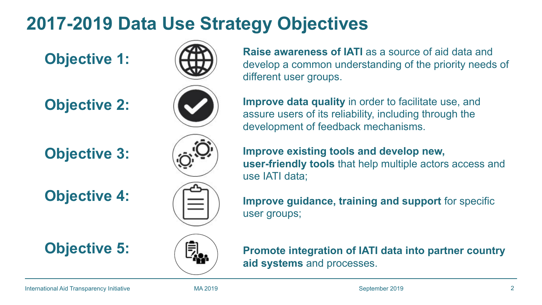# **2017-2019 Data Use Strategy Objectives**

### **Objective 2:**

**Objective 3:**

**Objective 4:**



**Objective 5:**



**Objective 1:** ( $\left(\begin{array}{c} A \\ C \end{array}\right)$  Raise awareness of IATI as a source of aid data and develop a common understanding of the priority needs of different user groups.

> **Improve data quality** in order to facilitate use, and assure users of its reliability, including through the development of feedback mechanisms.

**Improve existing tools and develop new, user-friendly tools** that help multiple actors access and use IATI data;

**Improve guidance, training and support** for specific user groups;



**Promote integration of IATI data into partner country aid systems** and processes.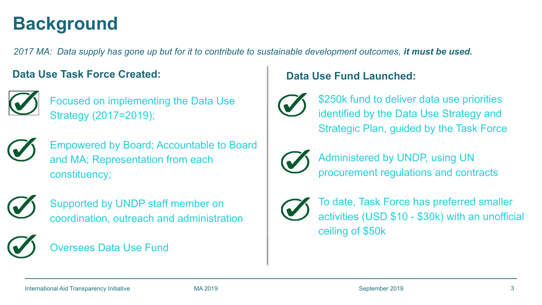# **Background**

*2017 MA: Data supply has gone up but for it to contribute to sustainable development outcomes, it must be used.*

#### **Data Use Task Force Created:**



Focused on implementing the Data Use Strategy (2017=2019);



Empowered by Board; Accountable to Board and MA; Representation from each constituency;



Supported by UNDP staff member on coordination, outreach and administration

#### Oversees Data Use Fund

#### **Data Use Fund Launched:**



\$250k fund to deliver data use priorities identified by the Data Use Strategy and Strategic Plan, guided by the Task Force



Administered by UNDP, using UN procurement regulations and contracts



To date, Task Force has preferred smaller activities (USD \$10 - \$30k) with an unofficial ceiling of \$50k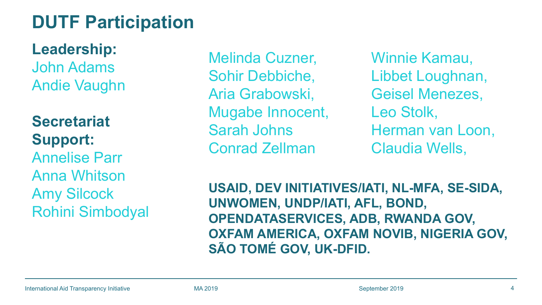# **DUTF Participation**

**Leadership:**  John Adams Andie Vaughn

**Secretariat Support:** Annelise Parr Anna Whitson Amy Silcock Rohini Simbodyal

Melinda Cuzner, Sohir Debbiche, Aria Grabowski, Mugabe Innocent, Sarah Johns Conrad Zellman

Winnie Kamau, Libbet Loughnan, Geisel Menezes, Leo Stolk, Herman van Loon, Claudia Wells,

**USAID, DEV INITIATIVES/IATI, NL-MFA, SE-SIDA, UNWOMEN, UNDP/IATI, AFL, BOND, OPENDATASERVICES, ADB, RWANDA GOV, OXFAM AMERICA, OXFAM NOVIB, NIGERIA GOV, SÃO TOMÉ GOV, UK-DFID.**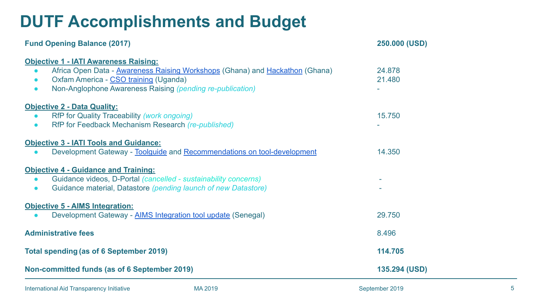### **DUTF Accomplishments and Budget**

| <b>Fund Opening Balance (2017)</b>                                                                                                                                                                                                                                        | 250.000 (USD)    |
|---------------------------------------------------------------------------------------------------------------------------------------------------------------------------------------------------------------------------------------------------------------------------|------------------|
| <b>Objective 1 - IATI Awareness Raising:</b><br>Africa Open Data - Awareness Raising Workshops (Ghana) and Hackathon (Ghana)<br>$\bullet$<br>Oxfam America - CSO training (Uganda)<br>$\bullet$<br>Non-Anglophone Awareness Raising (pending re-publication)<br>$\bullet$ | 24.878<br>21.480 |
| <b>Objective 2 - Data Quality:</b><br>RfP for Quality Traceability (work ongoing)<br>$\bullet$<br>RfP for Feedback Mechanism Research (re-published)<br>$\bullet$                                                                                                         | 15.750           |
| <b>Objective 3 - IATI Tools and Guidance:</b><br>Development Gateway - Toolquide and Recommendations on tool-development<br>$\bullet$                                                                                                                                     | 14.350           |
| <b>Objective 4 - Guidance and Training:</b><br>Guidance videos, D-Portal (cancelled - sustainability concerns)<br>$\bullet$<br>Guidance material, Datastore (pending launch of new Datastore)<br>$\bullet$                                                                |                  |
| <b>Objective 5 - AIMS Integration:</b><br>Development Gateway - AIMS Integration tool update (Senegal)<br>$\bullet$                                                                                                                                                       | 29.750           |
| <b>Administrative fees</b>                                                                                                                                                                                                                                                | 8.496            |
| <b>Total spending (as of 6 September 2019)</b>                                                                                                                                                                                                                            | 114.705          |
| Non-committed funds (as of 6 September 2019)                                                                                                                                                                                                                              | 135.294 (USD)    |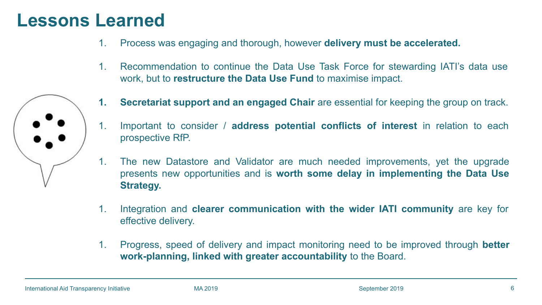### **Lessons Learned**

- 1. Process was engaging and thorough, however **delivery must be accelerated.**
- 1. Recommendation to continue the Data Use Task Force for stewarding IATI's data use work, but to **restructure the Data Use Fund** to maximise impact.



- 1. Important to consider / **address potential conflicts of interest** in relation to each prospective RfP.
- 1. The new Datastore and Validator are much needed improvements, yet the upgrade presents new opportunities and is **worth some delay in implementing the Data Use Strategy.**
- 1. Integration and **clearer communication with the wider IATI community** are key for effective delivery.
- 1. Progress, speed of delivery and impact monitoring need to be improved through **better work-planning, linked with greater accountability** to the Board.

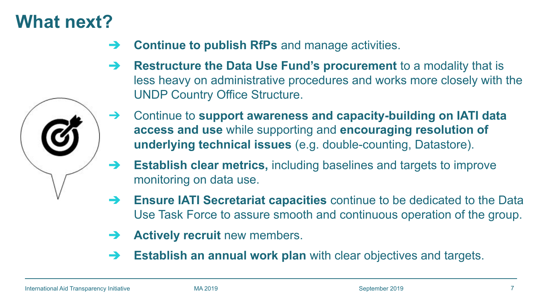# **What next?**

- ➔ **Continue to publish RfPs** and manage activities.
- ➔ **Restructure the Data Use Fund's procurement** to a modality that is less heavy on administrative procedures and works more closely with the UNDP Country Office Structure.
- ➔ Continue to **support awareness and capacity-building on IATI data access and use** while supporting and **encouraging resolution of underlying technical issues** (e.g. double-counting, Datastore).
- ➔ **Establish clear metrics,** including baselines and targets to improve monitoring on data use.
- ➔ **Ensure IATI Secretariat capacities** continue to be dedicated to the Data Use Task Force to assure smooth and continuous operation of the group.
- **→ Actively recruit** new members.
- ➔ **Establish an annual work plan** with clear objectives and targets.